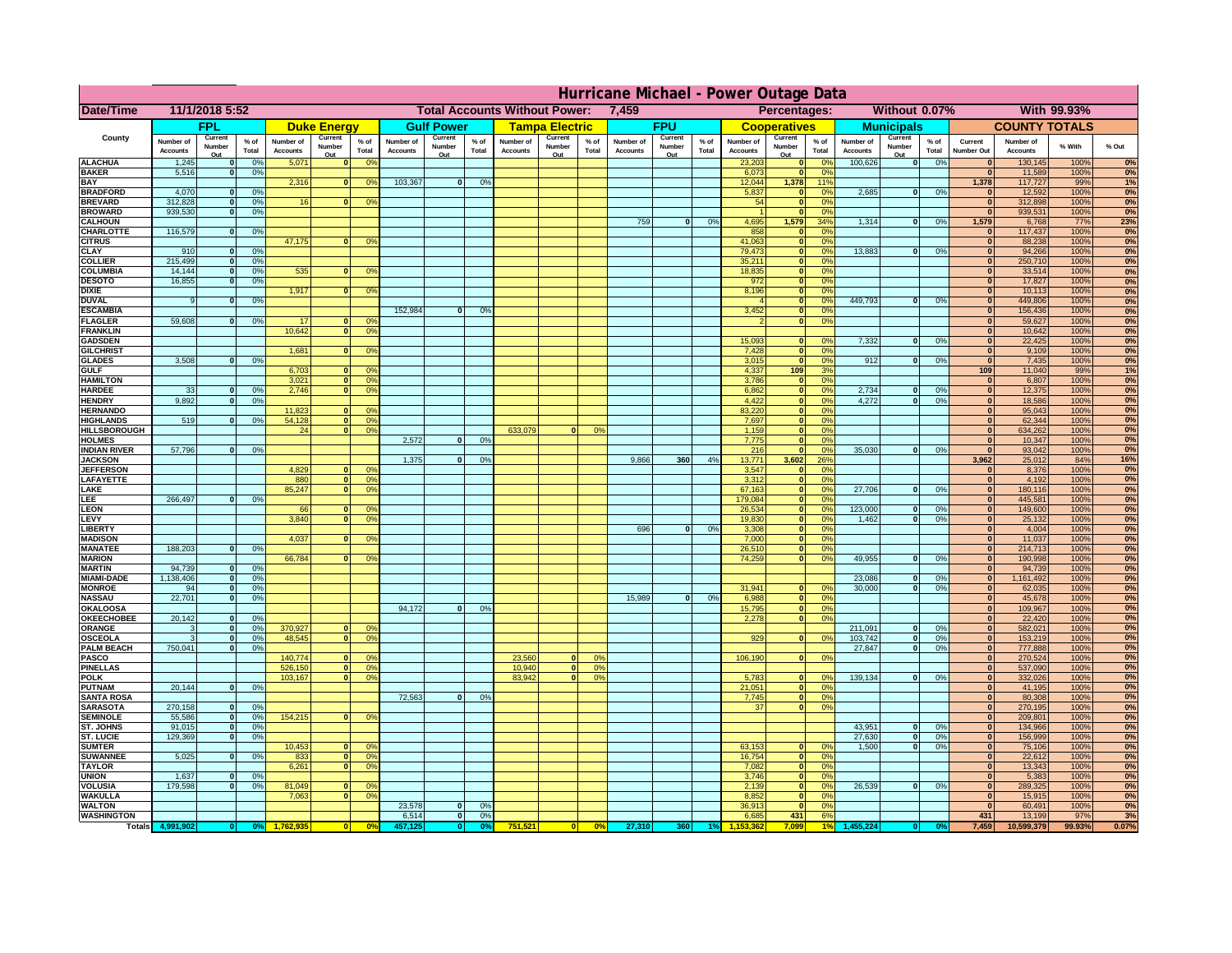|                                         | Hurricane Michael - Power Outage Data |                              |                      |                              |                          |                                                    |                              |                          |                |                              |                                              |                 |                              |                          |                 |                              |                           |                      |                              |                               |                 |                                  |                              |                    |           |
|-----------------------------------------|---------------------------------------|------------------------------|----------------------|------------------------------|--------------------------|----------------------------------------------------|------------------------------|--------------------------|----------------|------------------------------|----------------------------------------------|-----------------|------------------------------|--------------------------|-----------------|------------------------------|---------------------------|----------------------|------------------------------|-------------------------------|-----------------|----------------------------------|------------------------------|--------------------|-----------|
| Date/Time                               | 11/1/2018 5:52                        |                              |                      |                              |                          | <b>Total Accounts Without Power:</b><br>7,459      |                              |                          |                |                              | Without 0.07%<br>With 99.93%<br>Percentages: |                 |                              |                          |                 |                              |                           |                      |                              |                               |                 |                                  |                              |                    |           |
|                                         |                                       | FPL                          |                      |                              | <b>Duke Energy</b>       |                                                    |                              | <b>Gulf Power</b>        |                |                              | <b>Tampa Electric</b>                        |                 |                              | <b>FPU</b>               |                 |                              | <b>Cooperatives</b>       |                      |                              | <b>Municipals</b>             |                 |                                  | <b>COUNTY TOTALS</b>         |                    |           |
| County                                  | Number of<br><b>Accounts</b>          | Current<br>Number<br>Out     | $%$ of<br>Total      | Number of<br><b>Accounts</b> | Current<br>Number<br>Out | $%$ of<br>Total                                    | Number of<br><b>Accounts</b> | Current<br>Number<br>Out | % of<br>Total  | Number of<br><b>Accounts</b> | Current<br>Number<br>Out                     | $%$ of<br>Total | Number of<br><b>Accounts</b> | Current<br>Number<br>Out | $%$ of<br>Total | Number of<br><b>Accounts</b> | Current<br>Number<br>Out  | $%$ of<br>Total      | Number of<br><b>Accounts</b> | Current<br>Number<br>Out      | $%$ of<br>Total | Current<br><b>Number Out</b>     | Number of<br><b>Accounts</b> | % With             | % Out     |
| <b>ALACHUA</b>                          | 1,245                                 | $\mathbf{0}$                 | 0%                   | 5,071                        | $\mathbf{0}$             | 0 <sup>9</sup>                                     |                              |                          |                |                              |                                              |                 |                              |                          |                 | 23,203                       | 0                         | 0 <sup>9</sup>       | 100,626                      | 0                             | 0%              | $\bf{0}$                         | 130,145                      | 100%               | 0%        |
| <b>BAKER</b><br><b>BAY</b>              | 5,516                                 | 0                            | 0%                   | 2,316                        |                          | 0 <br>0 <sup>9</sup>                               | 103,367                      | 0                        | 0%             |                              |                                              |                 |                              |                          |                 | 6,073<br>12,044              | 0 <br>1,378               | 0%<br>11%            |                              |                               |                 | 0 <br>1,378                      | 11,589<br>117,727            | 100%<br>99%        | 0%<br>1%  |
| <b>BRADFORD</b>                         | 4,070                                 | $\mathbf{0}$                 | 0%                   |                              |                          |                                                    |                              |                          |                |                              |                                              |                 |                              |                          |                 | 5,837                        | 0                         | 0%                   | 2,685                        | 0                             | 0%              | $\bf{0}$                         | 12,592                       | 100%               | 0%        |
| <b>BREVARD</b>                          | 312,828                               | 0                            | 0%                   | 16                           | 0                        | 0 <sup>o</sup>                                     |                              |                          |                |                              |                                              |                 |                              |                          |                 | 54                           | 0                         | 0%                   |                              |                               |                 | 0                                | 312,898                      | 100%               | 0%        |
| <b>BROWARD</b><br><b>CALHOUN</b>        | 939.530                               | 0                            | 0%                   |                              |                          |                                                    |                              |                          |                |                              |                                              |                 | 759                          | $\mathbf{0}$             | 0%              | 4,695                        | 0 <br>1,579               | 0%<br>34%            | 1,314                        | 0                             | 0%              | $\bf{0}$<br>1,579                | 939,531<br>6,768             | 100%<br><b>77%</b> | 0%<br>23% |
| CHARLOTTE                               | 116,579                               | 0                            | 0%                   |                              |                          |                                                    |                              |                          |                |                              |                                              |                 |                              |                          |                 | 858                          | 0                         | 0%                   |                              |                               |                 | $\bf{0}$                         | 117,437                      | 100%               | 0%        |
| <b>CITRUS</b>                           |                                       |                              |                      | 47,175                       | $\mathbf{0}$             | 0 <sup>o</sup>                                     |                              |                          |                |                              |                                              |                 |                              |                          |                 | 41,063                       | 0                         | 0 <sup>9</sup>       |                              |                               |                 | $\bf{0}$                         | 88,238                       | 100%               | 0%        |
| <b>CLAY</b><br><b>COLLIER</b>           | 910<br>215,499                        | $\mathbf{0}$<br>$\mathbf{0}$ | 0%<br>0 <sup>9</sup> |                              |                          |                                                    |                              |                          |                |                              |                                              |                 |                              |                          |                 | 79,473<br>35,211             | 0 <br> 0                  | 0 <sup>9</sup><br>0% | 13,883                       | $\mathbf{0}$                  | 0%              | $\bf{0}$<br>$\bf{0}$             | 94,266<br>250,710            | 100%<br>100%       | 0%<br>0%  |
| <b>COLUMBIA</b>                         | 14,144                                | $\mathbf 0$                  | 0%                   | 535                          | $\mathbf{0}$             | 0 <sup>9</sup>                                     |                              |                          |                |                              |                                              |                 |                              |                          |                 | 18,835                       | 0                         | 0%                   |                              |                               |                 | $\bf{0}$                         | 33,514                       | 100%               | 0%        |
| <b>DESOTO</b>                           | 16,855                                | $\mathbf{0}$                 | 0%                   |                              |                          |                                                    |                              |                          |                |                              |                                              |                 |                              |                          |                 | 972                          | 0                         | 0%                   |                              |                               |                 | $\bf{0}$                         | 17,827                       | 100%               | 0%        |
| <b>DIXIE</b><br><b>DUVAL</b>            | 9                                     | $\Omega$                     | 0%                   | 1,917                        | $\Omega$                 | 0 <sup>9</sup>                                     |                              |                          |                |                              |                                              |                 |                              |                          |                 | 8,196                        | 0 <br> 0                  | 0%<br>0%             | 449.793                      | $\overline{\mathbf{0}}$       | 0%              | $\Omega$<br>$\Omega$             | 10,113<br>449,806            | 100%<br>100%       | 0%<br>0%  |
| <b>ESCAMBIA</b>                         |                                       |                              |                      |                              |                          |                                                    | 152,984                      | $\mathbf{0}$             | 0 <sup>9</sup> |                              |                                              |                 |                              |                          |                 | 3,452                        | 0                         | 0%                   |                              |                               |                 | $\Omega$                         | 156,436                      | 100%               | 0%        |
| <b>FLAGLER</b>                          | 59,608                                | $\overline{0}$               | 0%                   | 17                           | $\bf{0}$                 | 0 <sup>o</sup>                                     |                              |                          |                |                              |                                              |                 |                              |                          |                 |                              | 0                         | 0%                   |                              |                               |                 | $\bf{0}$                         | 59,627                       | 100%               | 0%        |
| <b>FRANKLIN</b><br><b>GADSDEN</b>       |                                       |                              |                      | 10,642                       | 0                        | 0 <sup>9</sup>                                     |                              |                          |                |                              |                                              |                 |                              |                          |                 | 15,093                       | $\mathbf{0}$              | 0%                   | 7,332                        | 0                             | 0%              | $\overline{0}$<br>$\overline{0}$ | 10,642<br>22,425             | 100%<br>100%       | 0%<br>0%  |
| <b>GILCHRIST</b>                        |                                       |                              |                      | 1,681                        | $\Omega$                 | 0 <sup>9</sup>                                     |                              |                          |                |                              |                                              |                 |                              |                          |                 | 7,428                        | 0                         | 0%                   |                              |                               |                 | $\hat{\mathbf{0}}$               | 9,109                        | 100%               | 0%        |
| <b>GLADES</b>                           | 3,508                                 | 0                            | 0%                   |                              |                          |                                                    |                              |                          |                |                              |                                              |                 |                              |                          |                 | 3,015                        | 0                         | 0%                   | 912                          | $\overline{0}$                | 0%              | 0                                | 7,435                        | 100%               | 0%        |
| <b>GULF</b>                             |                                       |                              |                      | 6,703                        |                          | $\mathbf{0}$<br>0 <sup>9</sup>                     |                              |                          |                |                              |                                              |                 |                              |                          |                 | 4,337                        | 109                       | 3%                   |                              |                               |                 | 109                              | 11,040                       | 99%                | 1%        |
| <b>HAMILTON</b><br><b>HARDEE</b>        | 33                                    | $\overline{0}$               | 0%                   | 3,021<br>2.746               | 0                        | $\overline{0}$<br>0 <sup>9</sup><br>0 <sup>9</sup> |                              |                          |                |                              |                                              |                 |                              |                          |                 | 3,786<br>6.862               | 0 <br> 0                  | 0%<br>0%             | 2.734                        | $\mathbf{0}$                  | 0%              | 0 <br> 0                         | 6,807<br>12,375              | 100%<br>100%       | 0%<br>0%  |
| <b>HENDRY</b>                           | 9,892                                 | $\Omega$                     | 0%                   |                              |                          |                                                    |                              |                          |                |                              |                                              |                 |                              |                          |                 | 4,422                        | 0                         | 0%                   | 4,272                        | $\Omega$                      | 0%              | 0                                | 18,586                       | 100%               | 0%        |
| <b>HERNANDO</b>                         |                                       |                              |                      | 11,823                       | $\mathbf{0}$             | 0 <sup>9</sup>                                     |                              |                          |                |                              |                                              |                 |                              |                          |                 | 83,220                       | 0                         | 0%                   |                              |                               |                 | $\mathbf{0}$                     | 95,043                       | 100%               | 0%        |
| <b>HIGHLANDS</b><br><b>HILLSBOROUGH</b> | 519                                   | $\mathbf{0}$                 | 0 <sup>9</sup>       | 54,128<br>24                 | 0 <br> 0                 | 0 <sup>9</sup><br>0 <sup>9</sup>                   |                              |                          |                | 633,079                      |                                              | 0%              |                              |                          |                 | 7,697<br>1,159               | 0 <br> 0                  | 0%<br>0%             |                              |                               |                 | $\mathbf{0}$<br>$\mathbf{0}$     | 62,344<br>634,262            | 100%<br>100%       | 0%<br>0%  |
| <b>HOLMES</b>                           |                                       |                              |                      |                              |                          |                                                    | 2.572                        | $\mathbf{0}$             | 0%             |                              |                                              |                 |                              |                          |                 | 7,775                        | 0                         | 0%                   |                              |                               |                 | $\mathbf{0}$                     | 10,347                       | 100%               | 0%        |
| <b>INDIAN RIVER</b>                     | 57,796                                | $\mathbf{0}$                 | 0%                   |                              |                          |                                                    |                              |                          |                |                              |                                              |                 |                              |                          |                 | 216                          | 0                         | 0%                   | 35,030                       | $\mathbf{0}$                  | 0%              | $\mathbf{0}$                     | 93,042                       | 100%               | 0%        |
| <b>JACKSON</b>                          |                                       |                              |                      | 4.829                        | n l                      |                                                    | 1.375                        | $\mathbf{0}$             | 0 <sup>9</sup> |                              |                                              |                 | 9.866                        | 360                      | 4%              | 13.771<br>3.547              | 3.602                     | 26%                  |                              |                               |                 | 3.962                            | 25,012<br>8.376              | 84%                | 16%       |
| <b>JEFFERSON</b><br>LAFAYETTE           |                                       |                              |                      | 880                          | 0                        | 0 <sup>9</sup><br>0 <sup>9</sup>                   |                              |                          |                |                              |                                              |                 |                              |                          |                 | 3.312                        | 0 <br> 0                  | 0%<br>0%             |                              |                               |                 | 0 <br> 0                         | 4,192                        | 100%<br>100%       | 0%<br>0%  |
| LAKE                                    |                                       |                              |                      | 85,247                       | $\mathbf{0}$             | 0 <sup>9</sup>                                     |                              |                          |                |                              |                                              |                 |                              |                          |                 | 67,163                       | 0                         | 0%                   | 27,706                       | $\Omega$                      | 0%              | 0                                | 180,116                      | 100%               | 0%        |
| EE.                                     | 266,497                               | $\Omega$                     | 0%                   |                              |                          |                                                    |                              |                          |                |                              |                                              |                 |                              |                          |                 | 179,084                      | 0                         | 0%                   |                              |                               |                 | 0                                | 445,581                      | 100%               | 0%        |
| LEON<br>LEVY                            |                                       |                              |                      | 66<br>3,840                  | $\mathbf{0}$<br>$\Omega$ | 0 <sup>o</sup><br>0 <sup>9</sup>                   |                              |                          |                |                              |                                              |                 |                              |                          |                 | 26,534<br>19,830             | 0 <br> 0                  | 0%<br>0%             | 123,000<br>1,462             | $\mathbf{0}$<br>-ol           | 0%<br>0%        | 0 <br> 0                         | 149,600<br>25,132            | 100%<br>100%       | 0%<br>0%  |
| LIBERTY                                 |                                       |                              |                      |                              |                          |                                                    |                              |                          |                |                              |                                              |                 | 696                          | $\Omega$                 | 0%              | 3,308                        | 0                         | 0%                   |                              |                               |                 | 0                                | 4,004                        | 100%               | 0%        |
| <b>MADISON</b>                          |                                       |                              |                      | 4,037                        | $\Omega$                 | 0 <sup>9</sup>                                     |                              |                          |                |                              |                                              |                 |                              |                          |                 | 7,000                        | 0                         | 0%                   |                              |                               |                 | 0                                | 11,037                       | 100%               | 0%        |
| <b>MANATEE</b><br><b>MARION</b>         | 188,203                               | 0                            | 0%                   | 66,784                       | $\Omega$                 | 0 <sup>9</sup>                                     |                              |                          |                |                              |                                              |                 |                              |                          |                 | 26,510<br>74,259             | 0 <br> 0                  | 0%<br>0%             | 49,955                       | nl                            | 0%              | 0 <br> 0                         | 214,713<br>190,998           | 100%<br>100%       | 0%<br>0%  |
| <b>MARTIN</b>                           | 94,739                                | 0                            | 0%                   |                              |                          |                                                    |                              |                          |                |                              |                                              |                 |                              |                          |                 |                              |                           |                      |                              |                               |                 | 0                                | 94,739                       | 100%               | 0%        |
| <b>MIAMI-DADE</b>                       | 1,138,406                             | 0                            | 0%                   |                              |                          |                                                    |                              |                          |                |                              |                                              |                 |                              |                          |                 |                              |                           |                      | 23,086                       | $\mathbf{0}$                  | 0%              | 0                                | 1,161,492                    | 100%               | 0%        |
| <b>MONROE</b>                           | 94<br>22,701                          | 0                            | 0%                   |                              |                          |                                                    |                              |                          |                |                              |                                              |                 | 15,989                       |                          |                 | 31,941                       | $\overline{0}$            | 0 <sup>9</sup>       | 30,000                       | 0                             | 0%              | 0                                | 62,035                       | 100%               | 0%<br>0%  |
| <b>NASSAU</b><br><b>OKALOOSA</b>        |                                       | 0                            | 0%                   |                              |                          |                                                    | 94,172                       | $\mathbf{0}$             | 0%             |                              |                                              |                 |                              | 0                        | 0%              | 6,988<br>15,795              | 0 <br> 0                  | 0%<br>0%             |                              |                               |                 | 0 <br> 0                         | 45,678<br>109,967            | 100%<br>100%       | 0%        |
| <b>OKEECHOBEE</b>                       | 20,142                                | 0                            | 0%                   |                              |                          |                                                    |                              |                          |                |                              |                                              |                 |                              |                          |                 | 2,278                        |                           | 0%<br> 0             |                              |                               |                 | 0                                | 22,420                       | 100%               | 0%        |
| ORANGE                                  | 3                                     | 0                            | 0%                   | 370,927                      |                          | 0 <br>0 <sup>o</sup>                               |                              |                          |                |                              |                                              |                 |                              |                          |                 | 929                          |                           | 0%                   | 211,091                      | $\overline{\mathbf{0}}$       | 0%              | 0                                | 582,021                      | 100%               | 0%        |
| <b>OSCEOLA</b><br><b>PALM BEACH</b>     | 3<br>750,041                          | 0 <br> 0                     | 0%<br>0%             | 48,545                       |                          | 0 <sup>9</sup><br> 0                               |                              |                          |                |                              |                                              |                 |                              |                          |                 |                              |                           | 0                    | 103,742<br>27,847            | 0 <br>$\overline{\mathbf{0}}$ | 0%<br>0%        | 0 <br> 0                         | 153,219<br>777,888           | 100%<br>100%       | 0%<br>0%  |
| <b>PASCO</b>                            |                                       |                              |                      | 140,774                      | $\Omega$                 | 0 <sup>9</sup>                                     |                              |                          |                | 23,560                       | $\Omega$                                     | $^{\circ}$      |                              |                          |                 | 106,190                      |                           | 0 <br>0%             |                              |                               |                 | 0                                | 270,524                      | 100%               | 0%        |
| <b>PINELLAS</b>                         |                                       |                              |                      | 526,150                      |                          | 0 <sup>9</sup><br> 0                               |                              |                          |                | 10,940                       | 0                                            | 0%              |                              |                          |                 |                              |                           |                      |                              |                               |                 | $\Omega$                         | 537,090                      | 100%               | 0%        |
| <b>POLK</b><br><b>PUTNAM</b>            | 20,144                                | 0                            | 0%                   | 103,167                      |                          | 0 <sup>9</sup><br> 0                               |                              |                          |                | 83,942                       | $\mathbf{a}$                                 | 0%              |                              |                          |                 | 5,783<br>21,051              | 0 <br>$\ddot{\textbf{0}}$ | $\Omega$<br>0%       | 139,134                      | 0                             | 0%              | 0 <br>$\bf{0}$                   | 332,026<br>41,195            | 100%<br>100%       | 0%<br>0%  |
| <b>SANTA ROSA</b>                       |                                       |                              |                      |                              |                          |                                                    | 72,563                       | 0                        | 0%             |                              |                                              |                 |                              |                          |                 | 7,745                        | 0                         | 0%                   |                              |                               |                 | $\mathbf{0}$                     | 80,308                       | 100%               | 0%        |
| <b>SARASOTA</b>                         | 270,158                               | 0                            | 0%                   |                              |                          |                                                    |                              |                          |                |                              |                                              |                 |                              |                          |                 | 37                           |                           | 0 <br>0%             |                              |                               |                 | $\mathbf{0}$                     | 270,195                      | 100%               | 0%        |
| <b>SEMINOLE</b><br>ST. JOHNS            | 55,586<br>91,015                      | 0 <br> 0                     | 0%<br>0%             | 154,215                      |                          | $\mathbf{0}$<br>0 <sup>9</sup>                     |                              |                          |                |                              |                                              |                 |                              |                          |                 |                              |                           |                      | 43,951                       | -ol                           | 0%              | $\mathbf{0}$<br> 0               | 209,801<br>134,966           | 100%<br>100%       | 0%<br>0%  |
| <b>ST. LUCIE</b>                        | 129.369                               | $\overline{0}$               | 0%                   |                              |                          |                                                    |                              |                          |                |                              |                                              |                 |                              |                          |                 |                              |                           |                      | 27.630                       | - O I                         | 0%              | 0                                | 156,999                      | 100%               | 0%        |
| <b>SUMTER</b>                           |                                       |                              |                      | 10,453                       | $\overline{0}$           | 0 <sup>9</sup>                                     |                              |                          |                |                              |                                              |                 |                              |                          |                 | 63,153                       | 0                         | 0%                   | 1.500                        | 0                             | 0%              | 0                                | 75,106                       | 100%               | 0%        |
| <b>SUWANNEE</b>                         | 5,025                                 | 0                            | 0%                   | 833                          | 0                        | 0 <sup>o</sup>                                     |                              |                          |                |                              |                                              |                 |                              |                          |                 | 16,754                       | 0                         | 0%                   |                              |                               |                 | $\mathbf{0}$                     | 22,612                       | 100%               | 0%        |
| <b>TAYLOR</b><br><b>UNION</b>           | 1,637                                 | $\mathbf{0}$                 | 0%                   | 6,261                        | 0                        | 0 <sup>9</sup>                                     |                              |                          |                |                              |                                              |                 |                              |                          |                 | 7,082<br>3,746               | 0 <br> 0                  | 0%<br>0%             |                              |                               |                 | $\bf{0}$<br>$\bf{0}$             | 13,343<br>5,383              | 100%<br>100%       | 0%<br>0%  |
| <b>VOLUSIA</b>                          | 179,598                               | 0                            | 0%                   | 81,049                       | $\mathbf{0}$             | $\mathbf{0}$                                       |                              |                          |                |                              |                                              |                 |                              |                          |                 | 2,139                        | 0                         | 0%                   | 26,539                       | 0                             | 0%              | $\bf{0}$                         | 289,325                      | 100%               | 0%        |
| <b>WAKULLA</b>                          |                                       |                              |                      | 7,063                        | $\mathbf{0}$             | 0 <sup>9</sup>                                     |                              |                          |                |                              |                                              |                 |                              |                          |                 | 8,852                        | 0                         | 0%                   |                              |                               |                 | $\mathbf{0}$                     | 15,915                       | 100%               | 0%        |
| <b>WALTON</b><br><b>WASHINGTON</b>      |                                       |                              |                      |                              |                          |                                                    | 23,578<br>6,514              | $\mathbf{0}$<br> 0       | 0%<br>0%       |                              |                                              |                 |                              |                          |                 | 36,913<br>6,685              | 0 <br>431                 | 0%<br>6%             |                              |                               |                 | 0 <br>431                        | 60,491<br>13,199             | 100%<br>97%        | 0%<br>3%  |
| <b>Totals</b>                           |                                       |                              |                      |                              |                          | 0 <sup>6</sup>                                     |                              | $\bullet$                |                | 751,521                      | 0                                            | 0%              | 27,310                       | 360                      |                 |                              | 7,099                     | 1 <sup>°</sup>       |                              |                               |                 | 7,459                            | 10,599,379                   | 99.93%             | 0.07%     |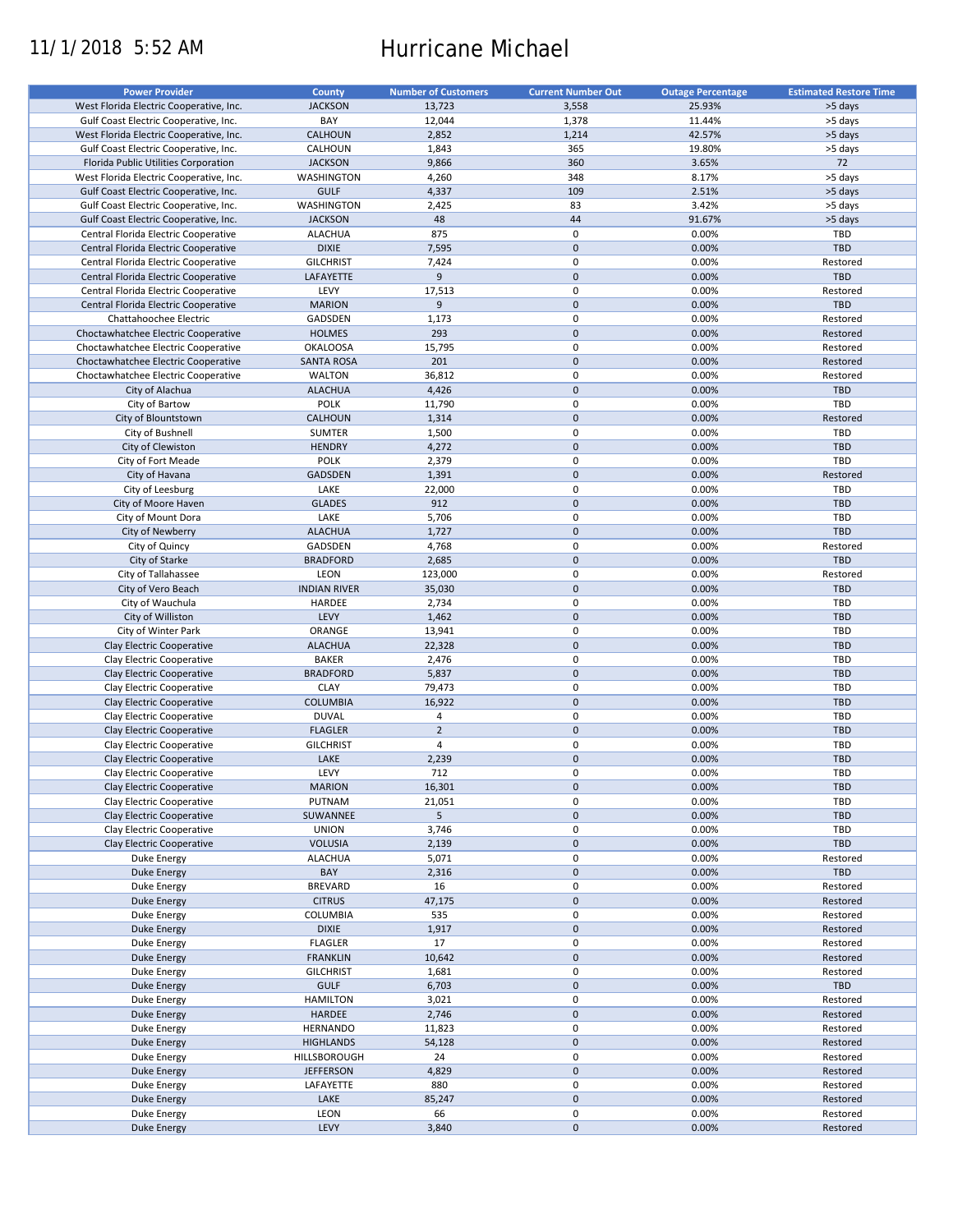# 11/1/2018 5:52 AM Hurricane Michael

| <b>Power Provider</b>                   | <b>County</b>       | <b>Number of Customers</b> | <b>Current Number Out</b> | <b>Outage Percentage</b> | <b>Estimated Restore Time</b> |
|-----------------------------------------|---------------------|----------------------------|---------------------------|--------------------------|-------------------------------|
| West Florida Electric Cooperative, Inc. | <b>JACKSON</b>      | 13,723                     | 3,558                     | 25.93%                   | >5 days                       |
|                                         |                     |                            |                           |                          |                               |
| Gulf Coast Electric Cooperative, Inc.   | BAY                 | 12,044                     | 1,378                     | 11.44%                   | >5 days                       |
| West Florida Electric Cooperative, Inc. | CALHOUN             | 2,852                      | 1,214                     | 42.57%                   | >5 days                       |
| Gulf Coast Electric Cooperative, Inc.   | CALHOUN             | 1,843                      | 365                       | 19.80%                   | >5 days                       |
| Florida Public Utilities Corporation    | <b>JACKSON</b>      | 9,866                      | 360                       | 3.65%                    | 72                            |
| West Florida Electric Cooperative, Inc. | <b>WASHINGTON</b>   | 4,260                      | 348                       | 8.17%                    | >5 days                       |
| Gulf Coast Electric Cooperative, Inc.   | <b>GULF</b>         | 4,337                      | 109                       | 2.51%                    | >5 days                       |
| Gulf Coast Electric Cooperative, Inc.   | WASHINGTON          | 2,425                      | 83                        | 3.42%                    | >5 days                       |
| Gulf Coast Electric Cooperative, Inc.   | <b>JACKSON</b>      | 48                         | 44                        | 91.67%                   | >5 days                       |
| Central Florida Electric Cooperative    | <b>ALACHUA</b>      | 875                        | 0                         | 0.00%                    | TBD                           |
|                                         |                     |                            |                           |                          |                               |
| Central Florida Electric Cooperative    | <b>DIXIE</b>        | 7,595                      | $\mathbf 0$               | 0.00%                    | <b>TBD</b>                    |
| Central Florida Electric Cooperative    | <b>GILCHRIST</b>    | 7,424                      | 0                         | 0.00%                    | Restored                      |
| Central Florida Electric Cooperative    | LAFAYETTE           | 9                          | $\mathbf 0$               | 0.00%                    | <b>TBD</b>                    |
| Central Florida Electric Cooperative    | LEVY                | 17,513                     | 0                         | 0.00%                    | Restored                      |
| Central Florida Electric Cooperative    | <b>MARION</b>       | 9                          | $\mathbf 0$               | 0.00%                    | <b>TBD</b>                    |
| Chattahoochee Electric                  | GADSDEN             | 1,173                      | 0                         | 0.00%                    | Restored                      |
| Choctawhatchee Electric Cooperative     | <b>HOLMES</b>       | 293                        | $\mathbf 0$               | 0.00%                    | Restored                      |
| Choctawhatchee Electric Cooperative     | <b>OKALOOSA</b>     | 15,795                     | 0                         | 0.00%                    | Restored                      |
| Choctawhatchee Electric Cooperative     | <b>SANTA ROSA</b>   | 201                        | $\mathbf 0$               | 0.00%                    | Restored                      |
|                                         |                     |                            |                           |                          |                               |
| Choctawhatchee Electric Cooperative     | <b>WALTON</b>       | 36,812                     | 0                         | 0.00%                    | Restored                      |
| City of Alachua                         | <b>ALACHUA</b>      | 4,426                      | $\mathbf 0$               | 0.00%                    | <b>TBD</b>                    |
| City of Bartow                          | <b>POLK</b>         | 11,790                     | 0                         | 0.00%                    | TBD                           |
| City of Blountstown                     | CALHOUN             | 1,314                      | $\pmb{0}$                 | 0.00%                    | Restored                      |
| City of Bushnell                        | <b>SUMTER</b>       | 1,500                      | 0                         | 0.00%                    | TBD                           |
| City of Clewiston                       | <b>HENDRY</b>       | 4,272                      | $\mathbf 0$               | 0.00%                    | TBD                           |
| City of Fort Meade                      | <b>POLK</b>         | 2,379                      | 0                         | 0.00%                    | TBD                           |
|                                         |                     |                            | $\mathbf 0$               |                          |                               |
| City of Havana                          | <b>GADSDEN</b>      | 1,391                      |                           | 0.00%                    | Restored                      |
| City of Leesburg                        | LAKE                | 22,000                     | 0                         | 0.00%                    | <b>TBD</b>                    |
| City of Moore Haven                     | <b>GLADES</b>       | 912                        | $\mathbf 0$               | 0.00%                    | <b>TBD</b>                    |
| City of Mount Dora                      | LAKE                | 5,706                      | 0                         | 0.00%                    | TBD                           |
| City of Newberry                        | <b>ALACHUA</b>      | 1,727                      | $\pmb{0}$                 | 0.00%                    | <b>TBD</b>                    |
| City of Quincy                          | GADSDEN             | 4,768                      | 0                         | 0.00%                    | Restored                      |
| City of Starke                          | <b>BRADFORD</b>     | 2,685                      | $\pmb{0}$                 | 0.00%                    | <b>TBD</b>                    |
| City of Tallahassee                     | LEON                | 123,000                    | 0                         | 0.00%                    | Restored                      |
|                                         |                     |                            |                           |                          |                               |
| City of Vero Beach                      | <b>INDIAN RIVER</b> | 35,030                     | $\mathbf 0$               | 0.00%                    | <b>TBD</b>                    |
| City of Wauchula                        | HARDEE              | 2,734                      | 0                         | 0.00%                    | TBD                           |
| City of Williston                       | LEVY                | 1,462                      | $\mathbf 0$               | 0.00%                    | <b>TBD</b>                    |
| City of Winter Park                     | ORANGE              | 13,941                     | 0                         | 0.00%                    | TBD                           |
| Clay Electric Cooperative               | <b>ALACHUA</b>      | 22,328                     | $\mathbf 0$               | 0.00%                    | <b>TBD</b>                    |
| Clay Electric Cooperative               | <b>BAKER</b>        | 2,476                      | 0                         | 0.00%                    | TBD                           |
| Clay Electric Cooperative               | <b>BRADFORD</b>     | 5,837                      | $\mathbf 0$               | 0.00%                    | <b>TBD</b>                    |
| Clay Electric Cooperative               | <b>CLAY</b>         | 79,473                     | 0                         | 0.00%                    | TBD                           |
|                                         |                     |                            | $\pmb{0}$                 |                          | <b>TBD</b>                    |
| Clay Electric Cooperative               | <b>COLUMBIA</b>     | 16,922                     |                           | 0.00%                    |                               |
| Clay Electric Cooperative               | <b>DUVAL</b>        | 4                          | $\pmb{0}$                 | 0.00%                    | TBD                           |
| Clay Electric Cooperative               | <b>FLAGLER</b>      | $\overline{2}$             | $\mathbf 0$               | 0.00%                    | <b>TBD</b>                    |
| Clay Electric Cooperative               | <b>GILCHRIST</b>    | $\overline{4}$             | $\pmb{0}$                 | 0.00%                    | TBD                           |
| Clay Electric Cooperative               | LAKE                | 2,239                      | $\mathbf 0$               | 0.00%                    | <b>TBD</b>                    |
| Clay Electric Cooperative               | LEVY                | 712                        | $\mathbf 0$               | 0.00%                    | TBD                           |
| Clay Electric Cooperative               | <b>MARION</b>       | 16,301                     | $\mathsf{O}\xspace$       | 0.00%                    | TBD                           |
| Clay Electric Cooperative               | PUTNAM              | 21,051                     | 0                         | 0.00%                    | TBD                           |
|                                         |                     |                            |                           |                          |                               |
| Clay Electric Cooperative               | SUWANNEE            | 5                          | $\pmb{0}$                 | 0.00%                    | <b>TBD</b>                    |
| Clay Electric Cooperative               | <b>UNION</b>        | 3,746                      | 0                         | 0.00%                    | TBD                           |
| Clay Electric Cooperative               | <b>VOLUSIA</b>      | 2,139                      | $\pmb{0}$                 | 0.00%                    | <b>TBD</b>                    |
| Duke Energy                             | <b>ALACHUA</b>      | 5,071                      | 0                         | 0.00%                    | Restored                      |
| <b>Duke Energy</b>                      | BAY                 | 2,316                      | $\mathsf{O}\xspace$       | 0.00%                    | <b>TBD</b>                    |
| Duke Energy                             | <b>BREVARD</b>      | 16                         | 0                         | 0.00%                    | Restored                      |
| Duke Energy                             | <b>CITRUS</b>       | 47,175                     | $\pmb{0}$                 | 0.00%                    | Restored                      |
|                                         | COLUMBIA            | 535                        | 0                         |                          | Restored                      |
| Duke Energy                             |                     |                            |                           | 0.00%                    |                               |
| Duke Energy                             | <b>DIXIE</b>        | 1,917                      | $\pmb{0}$                 | 0.00%                    | Restored                      |
| Duke Energy                             | <b>FLAGLER</b>      | 17                         | $\pmb{0}$                 | 0.00%                    | Restored                      |
| Duke Energy                             | <b>FRANKLIN</b>     | 10,642                     | $\mathsf{O}\xspace$       | 0.00%                    | Restored                      |
| Duke Energy                             | <b>GILCHRIST</b>    | 1,681                      | 0                         | 0.00%                    | Restored                      |
| Duke Energy                             | <b>GULF</b>         | 6,703                      | $\mathsf{O}\xspace$       | 0.00%                    | <b>TBD</b>                    |
| Duke Energy                             | <b>HAMILTON</b>     | 3,021                      | 0                         | 0.00%                    | Restored                      |
| <b>Duke Energy</b>                      | HARDEE              | 2,746                      | $\pmb{0}$                 | 0.00%                    | Restored                      |
|                                         |                     |                            |                           |                          |                               |
| Duke Energy                             | <b>HERNANDO</b>     | 11,823                     | 0                         | 0.00%                    | Restored                      |
| <b>Duke Energy</b>                      | <b>HIGHLANDS</b>    | 54,128                     | $\pmb{0}$                 | 0.00%                    | Restored                      |
| Duke Energy                             | HILLSBOROUGH        | 24                         | 0                         | 0.00%                    | Restored                      |
| <b>Duke Energy</b>                      | <b>JEFFERSON</b>    | 4,829                      | $\pmb{0}$                 | 0.00%                    | Restored                      |
| Duke Energy                             | LAFAYETTE           | 880                        | $\pmb{0}$                 | 0.00%                    | Restored                      |
| <b>Duke Energy</b>                      | LAKE                | 85,247                     | $\pmb{0}$                 | 0.00%                    | Restored                      |
| Duke Energy                             | LEON                | 66                         | $\pmb{0}$                 | 0.00%                    | Restored                      |
|                                         | LEVY                | 3,840                      | $\pmb{0}$                 | 0.00%                    |                               |
| <b>Duke Energy</b>                      |                     |                            |                           |                          | Restored                      |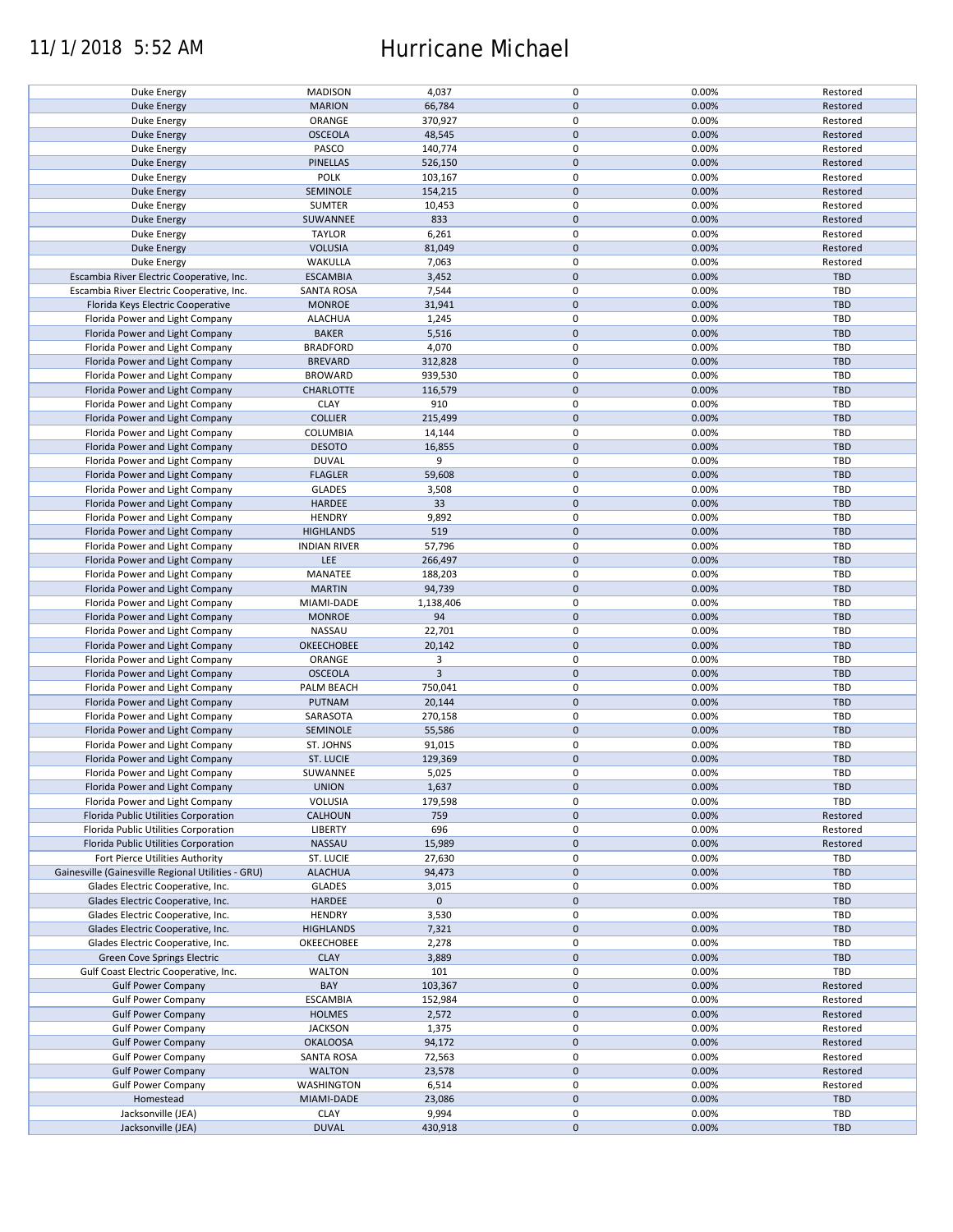## 11/1/2018 5:52 AM Hurricane Michael

| Duke Energy                                        | <b>MADISON</b>      | 4,037          | 0           | 0.00% | Restored   |
|----------------------------------------------------|---------------------|----------------|-------------|-------|------------|
| <b>Duke Energy</b>                                 | <b>MARION</b>       | 66,784         | $\mathbf 0$ | 0.00% | Restored   |
|                                                    |                     |                |             |       |            |
| Duke Energy                                        | ORANGE              | 370,927        | 0           | 0.00% | Restored   |
| Duke Energy                                        | <b>OSCEOLA</b>      | 48,545         | $\mathbf 0$ | 0.00% | Restored   |
| Duke Energy                                        | PASCO               | 140,774        | 0           | 0.00% | Restored   |
|                                                    |                     |                |             |       |            |
| <b>Duke Energy</b>                                 | <b>PINELLAS</b>     | 526,150        | $\mathbf 0$ | 0.00% | Restored   |
| Duke Energy                                        | POLK                | 103,167        | $\mathbf 0$ | 0.00% | Restored   |
|                                                    |                     |                | $\mathbf 0$ |       |            |
| Duke Energy                                        | SEMINOLE            | 154,215        |             | 0.00% | Restored   |
| Duke Energy                                        | <b>SUMTER</b>       | 10,453         | 0           | 0.00% | Restored   |
| <b>Duke Energy</b>                                 | SUWANNEE            | 833            | $\mathbf 0$ | 0.00% | Restored   |
|                                                    |                     |                |             |       |            |
| Duke Energy                                        | <b>TAYLOR</b>       | 6,261          | 0           | 0.00% | Restored   |
| <b>Duke Energy</b>                                 | <b>VOLUSIA</b>      | 81,049         | $\mathbf 0$ | 0.00% | Restored   |
| Duke Energy                                        | WAKULLA             | 7,063          | 0           | 0.00% | Restored   |
|                                                    |                     |                |             |       |            |
| Escambia River Electric Cooperative, Inc.          | <b>ESCAMBIA</b>     | 3,452          | $\mathbf 0$ | 0.00% | <b>TBD</b> |
| Escambia River Electric Cooperative, Inc.          | <b>SANTA ROSA</b>   | 7,544          | $\mathbf 0$ | 0.00% | <b>TBD</b> |
| Florida Keys Electric Cooperative                  | <b>MONROE</b>       | 31,941         | $\mathbf 0$ | 0.00% | <b>TBD</b> |
|                                                    |                     |                |             |       |            |
| Florida Power and Light Company                    | <b>ALACHUA</b>      | 1,245          | 0           | 0.00% | TBD        |
| Florida Power and Light Company                    | <b>BAKER</b>        | 5,516          | $\mathbf 0$ | 0.00% | <b>TBD</b> |
|                                                    |                     |                |             |       |            |
| Florida Power and Light Company                    | <b>BRADFORD</b>     | 4,070          | $\pmb{0}$   | 0.00% | <b>TBD</b> |
| Florida Power and Light Company                    | <b>BREVARD</b>      | 312,828        | $\mathbf 0$ | 0.00% | <b>TBD</b> |
| Florida Power and Light Company                    | <b>BROWARD</b>      | 939,530        | $\pmb{0}$   | 0.00% | <b>TBD</b> |
|                                                    |                     |                |             |       |            |
| Florida Power and Light Company                    | CHARLOTTE           | 116,579        | $\mathbf 0$ | 0.00% | <b>TBD</b> |
| Florida Power and Light Company                    | <b>CLAY</b>         | 910            | $\mathbf 0$ | 0.00% | TBD        |
|                                                    |                     |                | $\mathbf 0$ |       |            |
| Florida Power and Light Company                    | <b>COLLIER</b>      | 215,499        |             | 0.00% | <b>TBD</b> |
| Florida Power and Light Company                    | <b>COLUMBIA</b>     | 14,144         | 0           | 0.00% | <b>TBD</b> |
| Florida Power and Light Company                    | <b>DESOTO</b>       | 16,855         | $\mathbf 0$ | 0.00% | <b>TBD</b> |
|                                                    |                     |                |             |       |            |
| Florida Power and Light Company                    | <b>DUVAL</b>        | 9              | 0           | 0.00% | <b>TBD</b> |
| Florida Power and Light Company                    | <b>FLAGLER</b>      | 59,608         | $\mathbf 0$ | 0.00% | <b>TBD</b> |
| Florida Power and Light Company                    | <b>GLADES</b>       | 3,508          | 0           | 0.00% | <b>TBD</b> |
|                                                    |                     |                |             |       |            |
| Florida Power and Light Company                    | <b>HARDEE</b>       | 33             | $\mathbf 0$ | 0.00% | <b>TBD</b> |
| Florida Power and Light Company                    | <b>HENDRY</b>       | 9,892          | $\mathbf 0$ | 0.00% | TBD        |
| Florida Power and Light Company                    | <b>HIGHLANDS</b>    | 519            | $\mathbf 0$ | 0.00% | <b>TBD</b> |
|                                                    |                     |                |             |       |            |
| Florida Power and Light Company                    | <b>INDIAN RIVER</b> | 57,796         | 0           | 0.00% | <b>TBD</b> |
| Florida Power and Light Company                    | <b>LEE</b>          | 266,497        | $\mathbf 0$ | 0.00% | <b>TBD</b> |
|                                                    |                     |                |             |       |            |
| Florida Power and Light Company                    | MANATEE             | 188,203        | 0           | 0.00% | TBD        |
| Florida Power and Light Company                    | <b>MARTIN</b>       | 94,739         | $\mathbf 0$ | 0.00% | <b>TBD</b> |
| Florida Power and Light Company                    | MIAMI-DADE          | 1,138,406      | $\pmb{0}$   | 0.00% | <b>TBD</b> |
|                                                    |                     |                |             |       |            |
| Florida Power and Light Company                    | <b>MONROE</b>       | 94             | $\mathbf 0$ | 0.00% | <b>TBD</b> |
| Florida Power and Light Company                    | NASSAU              | 22,701         | $\pmb{0}$   | 0.00% | TBD        |
| Florida Power and Light Company                    | OKEECHOBEE          | 20,142         | $\mathbf 0$ | 0.00% | <b>TBD</b> |
|                                                    |                     |                |             |       |            |
| Florida Power and Light Company                    | ORANGE              | 3              | $\mathbf 0$ | 0.00% | <b>TBD</b> |
| Florida Power and Light Company                    | <b>OSCEOLA</b>      | $\overline{3}$ | $\mathbf 0$ | 0.00% | <b>TBD</b> |
| Florida Power and Light Company                    | PALM BEACH          | 750,041        | $\pmb{0}$   | 0.00% | <b>TBD</b> |
|                                                    |                     |                |             |       |            |
| Florida Power and Light Company                    | PUTNAM              | 20,144         | $\mathbf 0$ | 0.00% | <b>TBD</b> |
| Florida Power and Light Company                    | SARASOTA            | 270,158        | $\mathbf 0$ | 0.00% | TBD        |
|                                                    |                     |                |             |       |            |
| Florida Power and Light Company                    | SEMINOLE            | 55,586         | $\mathbf 0$ | 0.00% | <b>TBD</b> |
| Florida Power and Light Company                    | ST. JOHNS           | 91,015         | 0           | 0.00% | <b>TBD</b> |
| Florida Power and Light Company                    | <b>ST. LUCIE</b>    | 129,369        | $\mathbf 0$ | 0.00% | <b>TBD</b> |
|                                                    |                     |                |             |       |            |
| Florida Power and Light Company                    | SUWANNEE            | 5,025          | $\mathbf 0$ | 0.00% | <b>TBD</b> |
| Florida Power and Light Company                    | <b>UNION</b>        | 1,637          | $\pmb{0}$   | 0.00% | <b>TBD</b> |
|                                                    |                     |                |             |       | <b>TBD</b> |
| Florida Power and Light Company                    | <b>VOLUSIA</b>      | 179,598        | 0           | 0.00% |            |
| Florida Public Utilities Corporation               | <b>CALHOUN</b>      | 759            | $\mathbf 0$ | 0.00% | Restored   |
| Florida Public Utilities Corporation               | LIBERTY             | 696            | 0           | 0.00% | Restored   |
|                                                    |                     |                |             |       |            |
| Florida Public Utilities Corporation               | NASSAU              | 15,989         | $\mathbf 0$ | 0.00% | Restored   |
| Fort Pierce Utilities Authority                    | ST. LUCIE           | 27,630         | 0           | 0.00% | <b>TBD</b> |
| Gainesville (Gainesville Regional Utilities - GRU) | <b>ALACHUA</b>      | 94,473         | $\mathbf 0$ | 0.00% | <b>TBD</b> |
|                                                    |                     |                |             |       |            |
| Glades Electric Cooperative, Inc.                  | <b>GLADES</b>       | 3,015          | 0           | 0.00% | <b>TBD</b> |
| Glades Electric Cooperative, Inc.                  | HARDEE              | $\mathbf 0$    | $\mathbf 0$ |       | <b>TBD</b> |
| Glades Electric Cooperative, Inc.                  | <b>HENDRY</b>       | 3,530          | 0           | 0.00% | <b>TBD</b> |
|                                                    |                     |                |             |       |            |
| Glades Electric Cooperative, Inc.                  | <b>HIGHLANDS</b>    | 7,321          | $\pmb{0}$   | 0.00% | <b>TBD</b> |
| Glades Electric Cooperative, Inc.                  | OKEECHOBEE          | 2,278          | 0           | 0.00% | <b>TBD</b> |
| Green Cove Springs Electric                        | <b>CLAY</b>         | 3,889          | $\mathbf 0$ | 0.00% | <b>TBD</b> |
|                                                    |                     |                |             |       |            |
| Gulf Coast Electric Cooperative, Inc.              | <b>WALTON</b>       | 101            | 0           | 0.00% | TBD        |
| <b>Gulf Power Company</b>                          | BAY                 | 103,367        | $\mathbf 0$ | 0.00% | Restored   |
| <b>Gulf Power Company</b>                          | <b>ESCAMBIA</b>     | 152,984        | 0           | 0.00% | Restored   |
|                                                    |                     |                |             |       |            |
| <b>Gulf Power Company</b>                          | <b>HOLMES</b>       | 2,572          | $\pmb{0}$   | 0.00% | Restored   |
| <b>Gulf Power Company</b>                          | <b>JACKSON</b>      | 1,375          | $\pmb{0}$   | 0.00% | Restored   |
| <b>Gulf Power Company</b>                          | <b>OKALOOSA</b>     | 94,172         | $\pmb{0}$   | 0.00% | Restored   |
|                                                    |                     |                |             |       |            |
| <b>Gulf Power Company</b>                          | <b>SANTA ROSA</b>   | 72,563         | 0           | 0.00% | Restored   |
| <b>Gulf Power Company</b>                          | <b>WALTON</b>       | 23,578         | $\mathbf 0$ | 0.00% | Restored   |
|                                                    | WASHINGTON          | 6,514          | 0           | 0.00% | Restored   |
| <b>Gulf Power Company</b>                          |                     |                |             |       |            |
| Homestead                                          | MIAMI-DADE          | 23,086         | $\mathbf 0$ | 0.00% | <b>TBD</b> |
| Jacksonville (JEA)                                 | <b>CLAY</b>         | 9,994          | 0           | 0.00% | <b>TBD</b> |
|                                                    | <b>DUVAL</b>        | 430,918        | $\pmb{0}$   | 0.00% | <b>TBD</b> |
| Jacksonville (JEA)                                 |                     |                |             |       |            |